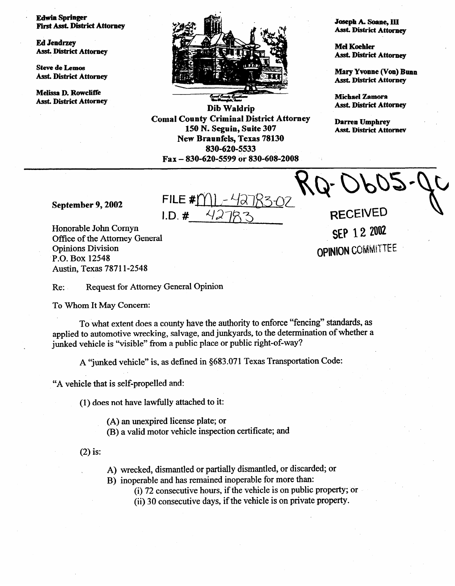**Edwin Springer First Asst. District Attorney** 

**Ed Jendrzey Asst. District Attorney** 

**Steve de Lemos Asst. District Attorney** 

**Melissa D. Rowclifk Asst. District Attorney** 



**Dib Waldrip Coma1 County Criminal District** Attorney **150 N. Seguin, Suite 307 New Braunfels, Texas 78130**  830-620-5533 **Fax - 830-620-5599 or 830-608-2008** 

**Joseph A. Soane, III Asst. District Attorney** 

**MelKoehIer Asst. District Attorney** 

**Mary Yvonne (Van) Bunn Asst. District Attorney** 

**Michael Zamora Ass& District Attorney** 

**Darren Umphrey Ask District** Attomew

**September 9,2002** 

FILE #  $I.D.$ #

**RECEIVED** SEP 12 2002 **OPINION COMMITTEE** 

Honorable John Comyn Office of the Attorney General Opinions Division P.O. Box 12548 Austin, Texas 7871 l-2548

**Re:** Request for Attorney General Opinion

To Whom It May Concern:

To what extent does a county have the authority to enforce "fencing" standards, as applied to automotive wrecking, salvage, and junkyards, to the determination of whether a junked vehicle is "visible" from a public place or public right-of-way?

A "junked vehicle" is, as defined in \$683.071 Texas Transportation Code:

"A vehicle that is self-propelled and:

(1) does not have lawfully attached to it:

(A) an unexpired license plate; or

(B) a valid motor vehicle inspection certificate; and

 $(2)$  is:

A) wrecked, dismantled or partially dismantled, or discarded; or

B) inoperable and has remained inoperable for more than:

(i) 72 consecutive hours, if the vehicle is on public property; or

(ii) 30 consecutive days, if the vehicle is on private property.